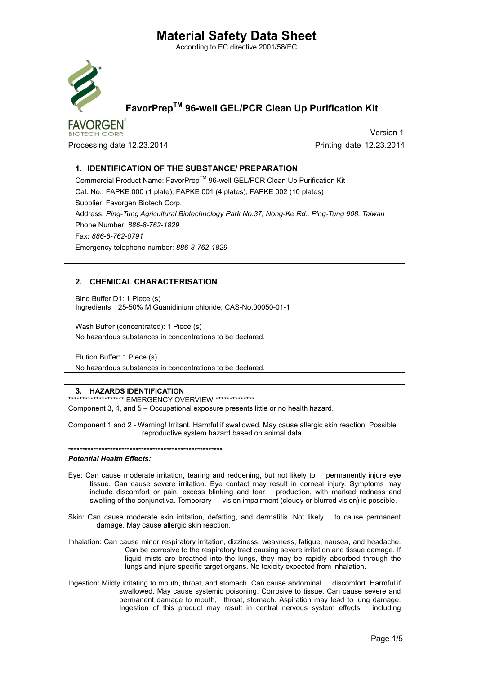According to EC directive 2001/58/EC



**FAVORGEN** 

## FavorPrepTM 96-well GEL/PCR Clean Up Purification Kit

Processing date 12.23.2014 **Processing date 12.23.2014** 

Version 1

### 1. IDENTIFICATION OF THE SUBSTANCE/ PREPARATION

Commercial Product Name: FavorPrep™ 96-well GEL/PCR Clean Up Purification Kit Cat. No.: FAPKE 000 (1 plate), FAPKE 001 (4 plates), FAPKE 002 (10 plates) Supplier: Favorgen Biotech Corp. Address: *Ping-Tung Agricultural Biotechnology Park No.37, Nong-Ke Rd., Ping-Tung 908, Taiwan* Phone Number: *886-8-762-1829* Fax*: 886-8-762-0791* Emergency telephone number: *886-8-762-1829*

#### 2. CHEMICAL CHARACTERISATION

Bind Buffer D1: 1 Piece (s) Ingredients 25-50% M Guanidinium chloride; CAS-No.00050-01-1

Wash Buffer (concentrated): 1 Piece (s) No hazardous substances in concentrations to be declared.

Elution Buffer: 1 Piece (s) No hazardous substances in concentrations to be declared.

#### 3. HAZARDS IDENTIFICATION

\*\*\*\*\*\*\*\*\*\*\*\*\*\*\*\*\*\*\*\* EMERGENCY OVERVIEW \*\*\*\*\*\*\*\*\*\*\*\*\*\*\* Component 3, 4, and 5 – Occupational exposure presents little or no health hazard.

Component 1 and 2 - Warning! Irritant. Harmful if swallowed. May cause allergic skin reaction. Possible reproductive system hazard based on animal data.

#### \*\*\*\*\*\*\*\*\*\*\*\*\*\*\*\*\*\*\*\*\*\*\*\*\*\*\*\*\*\*\*\*\*\*\*\*\*\*\*\*\*\*\*\*\*\*\*\*\*\*\*\*\*\*\*

#### *Potential Health Effects:*

- Eye: Can cause moderate irritation, tearing and reddening, but not likely to permanently injure eye tissue. Can cause severe irritation. Eye contact may result in corneal injury. Symptoms may include discomfort or pain, excess blinking and tear production, with marked redness and swelling of the conjunctiva. Temporary vision impairment (cloudy or blurred vision) is possible.
- Skin: Can cause moderate skin irritation, defatting, and dermatitis. Not likely to cause permanent damage. May cause allergic skin reaction.
- Inhalation: Can cause minor respiratory irritation, dizziness, weakness, fatigue, nausea, and headache. Can be corrosive to the respiratory tract causing severe irritation and tissue damage. If liquid mists are breathed into the lungs, they may be rapidly absorbed through the lungs and injure specific target organs. No toxicity expected from inhalation.
- Ingestion: Mildly irritating to mouth, throat, and stomach. Can cause abdominal discomfort. Harmful if swallowed. May cause systemic poisoning. Corrosive to tissue. Can cause severe and permanent damage to mouth, throat, stomach. Aspiration may lead to lung damage. Ingestion of this product may result in central nervous system effects including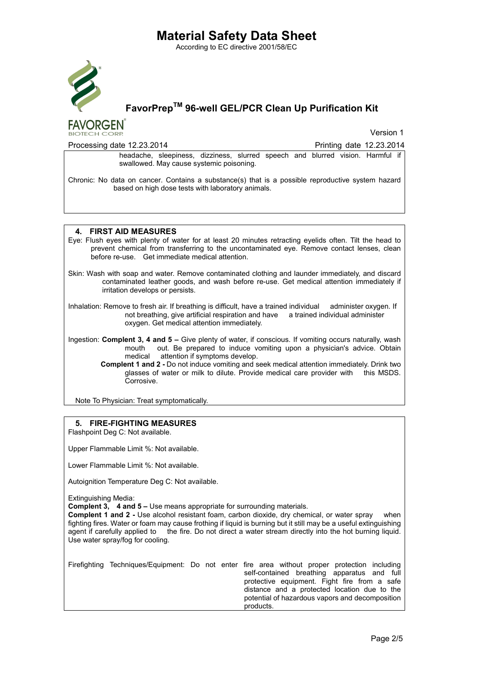According to EC directive 2001/58/EC



## FavorPrepTM 96-well GEL/PCR Clean Up Purification Kit

**FAVORGEN BIOTECH CORP** 

Version 1

| Processing date 12.23.2014                                                                                                                                                                                                                                                        | Printing date 12.23.2014 |  |  |  |  |  |  |
|-----------------------------------------------------------------------------------------------------------------------------------------------------------------------------------------------------------------------------------------------------------------------------------|--------------------------|--|--|--|--|--|--|
| headache, sleepiness, dizziness, slurred speech and blurred vision. Harmful if<br>swallowed. May cause systemic poisoning.                                                                                                                                                        |                          |  |  |  |  |  |  |
| Chronic: No data on cancer. Contains a substance(s) that is a possible reproductive system hazard<br>based on high dose tests with laboratory animals.                                                                                                                            |                          |  |  |  |  |  |  |
|                                                                                                                                                                                                                                                                                   |                          |  |  |  |  |  |  |
| 4. FIRST AID MEASURES<br>Eye: Flush eyes with plenty of water for at least 20 minutes retracting eyelids often. Tilt the head to<br>prevent chemical from transferring to the uncontaminated eye. Remove contact lenses, clean<br>before re-use. Get immediate medical attention. |                          |  |  |  |  |  |  |
|                                                                                                                                                                                                                                                                                   |                          |  |  |  |  |  |  |

Skin: Wash with soap and water. Remove contaminated clothing and launder immediately, and discard contaminated leather goods, and wash before re-use. Get medical attention immediately if irritation develops or persists.

Inhalation: Remove to fresh air. If breathing is difficult, have a trained individual administer oxygen. If not breathing, give artificial respiration and have a trained individual administer oxygen. Get medical attention immediately.

Ingestion: Complent 3, 4 and 5 – Give plenty of water, if conscious. If vomiting occurs naturally, wash mouth out. Be prepared to induce vomiting upon a physician's advice. Obtain medical attention if symptoms develop. attention if symptoms develop.

 Complent 1 and 2 - Do not induce vomiting and seek medical attention immediately. Drink two glasses of water or milk to dilute. Provide medical care provider with this MSDS. Corrosive.

Note To Physician: Treat symptomatically.

### 5. FIRE-FIGHTING MEASURES

Flashpoint Deg C: Not available.

Upper Flammable Limit %: Not available.

Lower Flammable Limit %: Not available.

Autoignition Temperature Deg C: Not available.

Extinguishing Media:

Complent 3, 4 and 5 – Use means appropriate for surrounding materials.

Complent 1 and 2 - Use alcohol resistant foam, carbon dioxide, dry chemical, or water spray when fighting fires. Water or foam may cause frothing if liquid is burning but it still may be a useful extinguishing agent if carefully applied to the fire. Do not direct a water stream directly into the hot burning liquid. Use water spray/fog for cooling.

| Firefighting Techniques/Equipment: Do not enter fire area without proper protection including |  |           |  |                                                 |  |
|-----------------------------------------------------------------------------------------------|--|-----------|--|-------------------------------------------------|--|
|                                                                                               |  |           |  | self-contained breathing apparatus and full     |  |
|                                                                                               |  |           |  | protective equipment. Fight fire from a safe    |  |
|                                                                                               |  |           |  | distance and a protected location due to the    |  |
|                                                                                               |  |           |  | potential of hazardous vapors and decomposition |  |
|                                                                                               |  | products. |  |                                                 |  |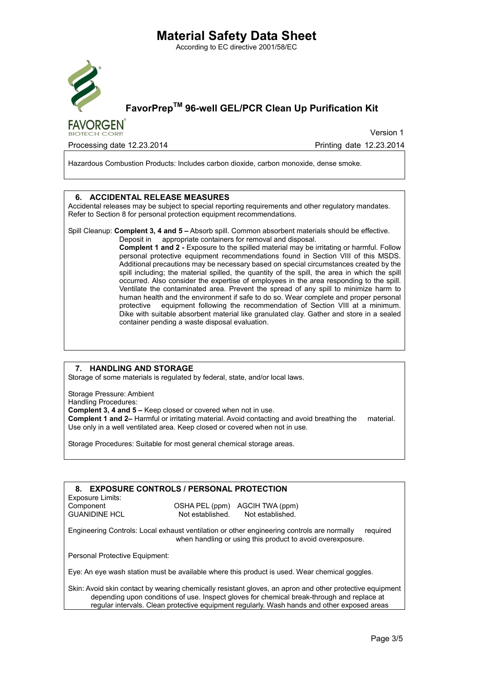According to EC directive 2001/58/EC



**FAVORGEN** 

## FavorPrepTM 96-well GEL/PCR Clean Up Purification Kit

Version 1

Processing date 12.23.2014 **Printing date 12.23.2014** Printing date 12.23.2014

Hazardous Combustion Products: Includes carbon dioxide, carbon monoxide, dense smoke.

#### 6. ACCIDENTAL RELEASE MEASURES

Accidental releases may be subject to special reporting requirements and other regulatory mandates. Refer to Section 8 for personal protection equipment recommendations.

#### Spill Cleanup: Complent 3, 4 and 5 – Absorb spill. Common absorbent materials should be effective.

Deposit in appropriate containers for removal and disposal.

Complent 1 and 2 - Exposure to the spilled material may be irritating or harmful. Follow personal protective equipment recommendations found in Section VIII of this MSDS. Additional precautions may be necessary based on special circumstances created by the spill including; the material spilled, the quantity of the spill, the area in which the spill occurred. Also consider the expertise of employees in the area responding to the spill. Ventilate the contaminated area. Prevent the spread of any spill to minimize harm to human health and the environment if safe to do so. Wear complete and proper personal protective equipment following the recommendation of Section VIII at a minimum. Dike with suitable absorbent material like granulated clay. Gather and store in a sealed container pending a waste disposal evaluation.

#### 7. HANDLING AND STORAGE

Storage of some materials is regulated by federal, state, and/or local laws.

Storage Pressure: Ambient Handling Procedures: Complent 3, 4 and 5 – Keep closed or covered when not in use. Complent 1 and 2– Harmful or irritating material. Avoid contacting and avoid breathing the material. Use only in a well ventilated area. Keep closed or covered when not in use.

Storage Procedures: Suitable for most general chemical storage areas.

| <b>EXPOSURE CONTROLS / PERSONAL PROTECTION</b><br>8.                                                                                                                 |                  |                                |  |  |  |  |  |  |
|----------------------------------------------------------------------------------------------------------------------------------------------------------------------|------------------|--------------------------------|--|--|--|--|--|--|
| Exposure Limits:                                                                                                                                                     |                  |                                |  |  |  |  |  |  |
| Component                                                                                                                                                            |                  | OSHA PEL (ppm) AGCIH TWA (ppm) |  |  |  |  |  |  |
| <b>GUANIDINE HCL</b>                                                                                                                                                 | Not established. | Not established.               |  |  |  |  |  |  |
| Engineering Controls: Local exhaust ventilation or other engineering controls are normally<br>required<br>when handling or using this product to avoid overexposure. |                  |                                |  |  |  |  |  |  |
| Personal Protective Equipment:                                                                                                                                       |                  |                                |  |  |  |  |  |  |
| Eye: An eye wash station must be available where this product is used. Wear chemical goggles.                                                                        |                  |                                |  |  |  |  |  |  |

Skin: Avoid skin contact by wearing chemically resistant gloves, an apron and other protective equipment depending upon conditions of use. Inspect gloves for chemical break-through and replace at regular intervals. Clean protective equipment regularly. Wash hands and other exposed areas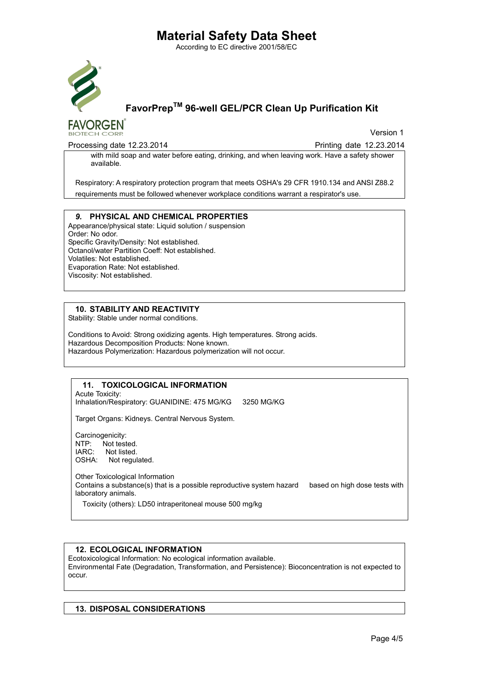According to EC directive 2001/58/EC



## FavorPrepTM 96-well GEL/PCR Clean Up Purification Kit

**FAVORGEN** 

Version 1

Processing date 12.23.2014 **Processing date 12.23.2014** Printing date 12.23.2014

with mild soap and water before eating, drinking, and when leaving work. Have a safety shower available.

Respiratory: A respiratory protection program that meets OSHA's 29 CFR 1910.134 and ANSI Z88.2 requirements must be followed whenever workplace conditions warrant a respirator's use.

#### *9.* PHYSICAL AND CHEMICAL PROPERTIES

Appearance/physical state: Liquid solution / suspension Order: No odor. Specific Gravity/Density: Not established. Octanol/water Partition Coeff: Not established. Volatiles: Not established. Evaporation Rate: Not established. Viscosity: Not established.

#### 10. STABILITY AND REACTIVITY

Stability: Stable under normal conditions.

Conditions to Avoid: Strong oxidizing agents. High temperatures. Strong acids. Hazardous Decomposition Products: None known. Hazardous Polymerization: Hazardous polymerization will not occur.

#### 11. TOXICOLOGICAL INFORMATION

Acute Toxicity: Inhalation/Respiratory: GUANIDINE: 475 MG/KG 3250 MG/KG

Target Organs: Kidneys. Central Nervous System.

Carcinogenicity: NTP: Not tested. IARC: Not listed. OSHA: Not regulated.

Other Toxicological Information Contains a substance(s) that is a possible reproductive system hazard based on high dose tests with laboratory animals.

Toxicity (others): LD50 intraperitoneal mouse 500 mg/kg

#### 12. ECOLOGICAL INFORMATION

Ecotoxicological Information: No ecological information available. Environmental Fate (Degradation, Transformation, and Persistence): Bioconcentration is not expected to occur.

### 13. DISPOSAL CONSIDERATIONS